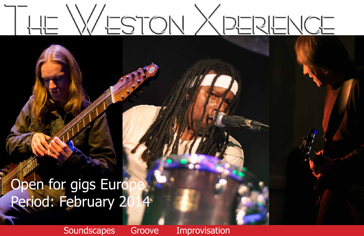# WESTON XPERENCE

# Open for gigs Euro Period: February 2

Soundscapes Groove Improvisation

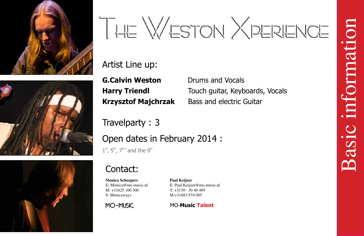

# THE WESTON XPERIENCE

## Artist Line up:

**G.Calvin Weston** Drums and Vocals **Harry Triendl**

Touch guitar, Keyboards, Vocals **Krzysztof Majchrzak** Bass and electric Guitar

Travelparty : 3 Open dates in February 2014 :  $1<sup>st</sup>$ ,  $5<sup>th</sup>$ ,  $7<sup>the</sup>$  and the  $9<sup>th</sup>$ 

Basic information information Basici

# Contact:

MO-MUSIC

E; Monica@mo-music.nl E: Paul.Keijzer@mo-music.nl T: +3170 - 30 40 489

**Monica Scheepers Paul Keijzer** M: +31625 100 300 S: Monicaways M:+31683.974 085





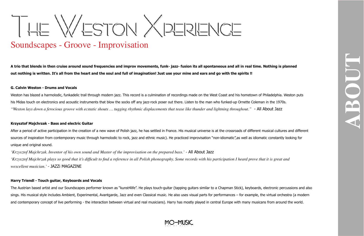**ABOUT**

# THE WESTON XPERIENCE

## Soundscapes - Groove - Improvisation

**A trio that blends in then cruise around sound frequencies and improv movements, funk- jazz- fusion its all spontaneous and all in real time. Nothing is planned out nothing is written. It's all from the heart and the soul and full of imagination! Just use your mine and ears and go with the spirits !!**

### **G. Calvin Weston - Drums and Vocals**

Weston has blazed a harmolodic, funkadelic trail through modern jazz. This record is a culmination of recordings made on the West Coast and his hometown of Philadelphia. Weston puts his Midas touch on electronics and acoustic instruments that blow the socks off any jazz-rock poser out there. Listen to the man who funked-up Ornette Coleman in the 1970s. *"Weston lays down a ferocious groove with ecstatic shouts … tugging rhythmic displacements that tease like thunder and lightning throughout."* - All About Jazz

### **Krzysztof Majchrzak - Bass and electric Guitar**

After a period of active participation in the creation of a new wave of Polish jazz, he has settled in France. His musical universe is at the crossroads of different musical cultures and different sources of inspiration from contemporary music through harmolodic to rock, jazz and ethnic music). He practiced improvisation "non-idiomatic", as well as idiomatic constantly looking for unique and original sound.

*'Krzysztof Majchrzak. Inventor of his own sound and Master of the improvisation on the prepared bass.'* - All About Jazz *'Krzysztof Majchrzak plays so good that it's difficult to find a reference in all Polish phonography. Some records with his participation I heard prove that it is great and wexcellent musician.'* - JAZZi MAGAZINE

### **Harry Triendl - Touch guitar, Keyboards and Vocals**

The Austrian based artist and our Soundscapes performer known as "kunst4life". He plays touch-guitar (tapping guitars similar to a Chapman Stick), keyboards, electronic percussions and also sings. His musical style includes Ambient, Experimental, Avantgarde, Jazz and even Classical music. He also uses visual parts for performances – for example, the virtual orchestra (a modern and contemporary concept of live performing - the interaction between virtual and real musicians). Harry has mostly played in central Europe with many musicans from around the world.

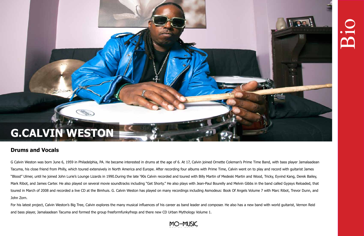# **G.CALVIN WESTON**

## **Drums and Vocals**

G Calvin Weston was born June 6, 1959 in Philadelphia, PA. He became interested in drums at the age of 6. At 17, Calvin joined Ornette Coleman's Prime Time Band, with bass player Jamalaadean Tacuma, his close friend from Philly, which toured extensively in North America and Europe. After recording four albums with Prime Time, Calvin went on to play and record with guitarist James "Blood" Ulmer, until he joined John Lurie's Lounge Lizards in 1990.During the late '90s Calvin recorded and toured with Billy Martin of Medeski Martin and Wood, Tricky, Eyvind Kang, Derek Bailey, Mark Ribot, and James Carter. He also played on several movie soundtracks including "Get Shorty." He also plays with Jean-Paul Bourelly and Melvin Gibbs in the band called Gypsys Reloaded, that toured in March of 2008 and recorded a live CD at the Bimhuis. G. Calvin Weston has played on many recordings including Asmodeus: Book Of Angels Volume 7 with Marc Ribot, Trevor Dunn, and John Zorn.

For his latest project, Calvin Weston's Big Tree, Calvin explores the many musical influences of his career as band leader and composer. He also has a new band with world guitarist, Vernon Reid and bass player, Jamalaadean Tacuma and formed the group freeformfunkyfreqs and there new CD Urban Mythology Volume 1.





Bio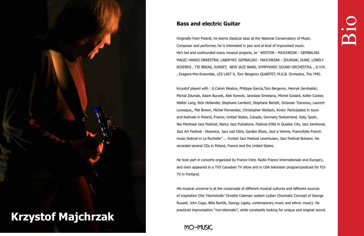### **Bass and electric Guitar**

Originally from Poland, he learns classical bass at the National Conservatory of Music. Composer and performer, he is interested in jazz and al kind of improvised music. He's led and confounded many musical projects, as ' WESTON - MAJCHRZAK - GEMBALSKI MAGIC HANDS ORKESTRA', LABIRYNT, GEMBALSKI - MAJCHRZAK - ZDUNIAK, DUNE, LONELY KOSMIKS , TIE BREAK, SUNSET, NEW JAZZ BAND, SYMPHONIC SOUND ORCHESTRA, , D.Y.M. , Exagere-Moi-Ensemble, LES LAST X, Tom Bergeron QUARTET, M.G.B. Orchestra, Trio YMG.

Krzystof played with : G.Calvin Weston, Philippe Garcia,Tom Bergeron, Henryk Gembalski, Michal Zduniak, Adam Buczek, Alek Korecki, Jaroslaw Smietana, Michel Godard, Keller Cocker, Walter Lang, Rick Hollander, Stephane Lambert, Stephane Bartelt, Octavian Tzaranou, Laurent Levesque,, Mel Brown, Michel Fernandez, Christopher Woitach, Kinior. Participated in tours and festivals in Poland, France, United States, Canada, Germany Switzerland, Italy, Spain, like Montreal Jazz Festival, Nancy Jazz Pulsations, Festival d'été in Quebec City, Jazz Jamboree, Jazz Art Festival - Ktaowice, Jazz nad Odra, Garden Blues, Jazz a Vienne, Francofolie French music festival in La Rochelle" ... Invited Jazz Festival Leverkusen, Jazz Festival Bolzano. He recorded several CDs in Poland, France and the United States.

He took part in concerts organized by France Inter, Radio France Internationale and Europe1, and even appeared in a TV5 Canadian TV show and in USA television program/podcast for PJJ-TV in Portland.

His musical universe is at the crossroads of different musical cultures and different sources of inspiration (the 'Harmolodic' Ornette Coleman system Lydian Chromatic Concept of George Russell, John Cage, Béla Bartók, Georgy Ligety, contemporary music and ethnic music). He practiced improvisation "non-idiomatic", while constantly looking for unique and original sound.

MO-MUSIC

# Bio

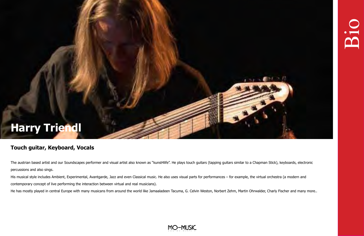## **Touch guitar, Keyboard, Vocals**

The austrian based artist and our Soundscapes performer and visual artist also known as "kunst4life". He plays touch guitars (tapping guitars similar to a Chapman Stick), keyboards, electronic percussions and also sings.

His musical style includes Ambient, Experimental, Avantgarde, Jazz and even Classical music. He also uses visual parts for performances – for example, the virtual orchestra (a modern and contemporary concept of live performing the interaction between virtual and real musicians).

He has mostly played in central Europe with many musicans from around the world like Jamaaladeen Tacuma, G. Celvin Weston, Norbert Zehm, Martin Ohrwalder, Charly Fischer and many more..





**Bio** 

# **Harry Triendl**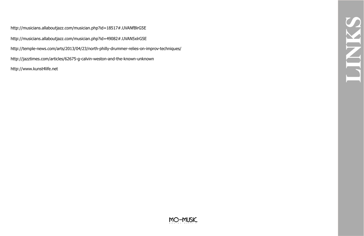**LINKS**

http://musicians.allaboutjazz.com/musician.php?id=18517#.UVANfBlrG5E http://musicians.allaboutjazz.com/musician.php?id=49082#.UVAN5xlrG5E http://temple-news.com/arts/2013/04/23/north-philly-drummer-relies-on-improv-techniques/ http://jazztimes.com/articles/62675-g-calvin-weston-and-the-known-unknown http://www.kunst4life.net